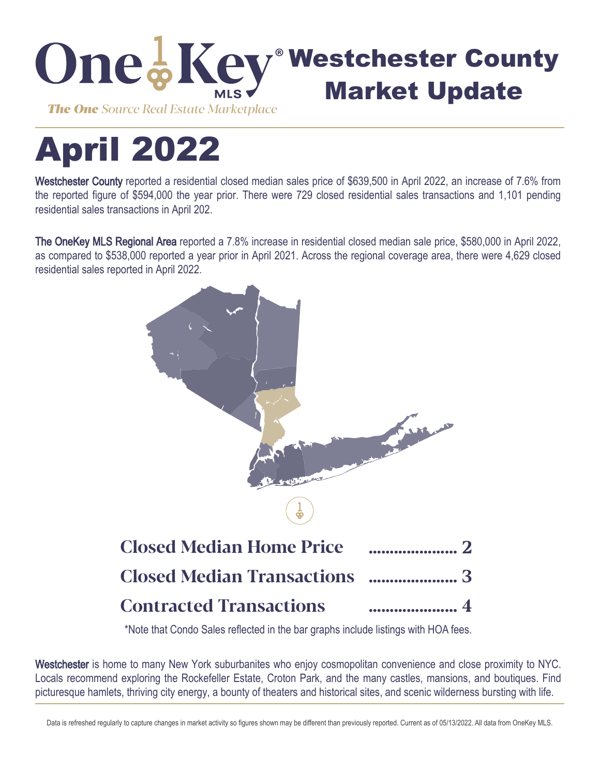

# April 2022

Westchester County reported a residential closed median sales price of \$639,500 in April 2022, an increase of 7.6% from the reported figure of \$594,000 the year prior. There were 729 closed residential sales transactions and 1,101 pending residential sales transactions in April 202.

The OneKey MLS Regional Area reported a 7.8% increase in residential closed median sale price, \$580,000 in April 2022, as compared to \$538,000 reported a year prior in April 2021. Across the regional coverage area, there were 4,629 closed residential sales reported in April 2022.



\*Note that Condo Sales reflected in the bar graphs include listings with HOA fees.

Westchester is home to many New York suburbanites who enjoy cosmopolitan convenience and close proximity to NYC. Locals recommend exploring the Rockefeller Estate, Croton Park, and the many castles, mansions, and boutiques. Find picturesque hamlets, thriving city energy, a bounty of theaters and historical sites, and scenic wilderness bursting with life.

Data is refreshed regularly to capture changes in market activity so figures shown may be different than previously reported. Current as of 05/13/2022. All data from OneKey MLS.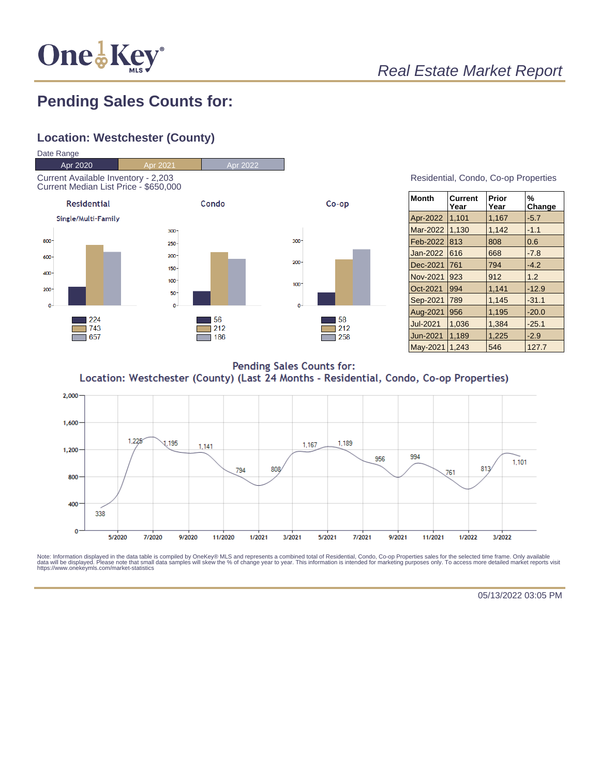

## Real Estate Market Report

## **Pending Sales Counts for:**

### **Location: Westchester (County)**



| Residential, Condo, Co-op Properties |  |  |
|--------------------------------------|--|--|
|                                      |  |  |

| <b>Month</b>    | Current<br>Year | Prior<br>Year | %<br>Change |
|-----------------|-----------------|---------------|-------------|
| Apr-2022        | 1,101           | 1,167         | $-5.7$      |
| Mar-2022        | 1,130           | 1,142         | $-1.1$      |
| Feb-2022        | 813             | 808           | 0.6         |
| Jan-2022        | 616             | 668           | $-7.8$      |
| Dec-2021        | 761             | 794           | $-4.2$      |
| Nov-2021        | 923             | 912           | 1.2         |
| Oct-2021        | 994             | 1,141         | $-12.9$     |
| Sep-2021        | 789             | 1.145         | $-31.1$     |
| Aug-2021        | 956             | 1,195         | $-20.0$     |
| <b>Jul-2021</b> | 1.036           | 1,384         | $-25.1$     |
| <b>Jun-2021</b> | 1,189           | 1,225         | $-2.9$      |
| May-2021        | 1.243           | 546           | 127.7       |

**Pending Sales Counts for:** Location: Westchester (County) (Last 24 Months - Residential, Condo, Co-op Properties)



Note: Information displayed in the data table is compiled by OneKey® MLS and represents a combined total of Residential, Condo, Co-op Properties sales for the selected time frame. Only available<br>data will be displayed. Pl

05/13/2022 03:05 PM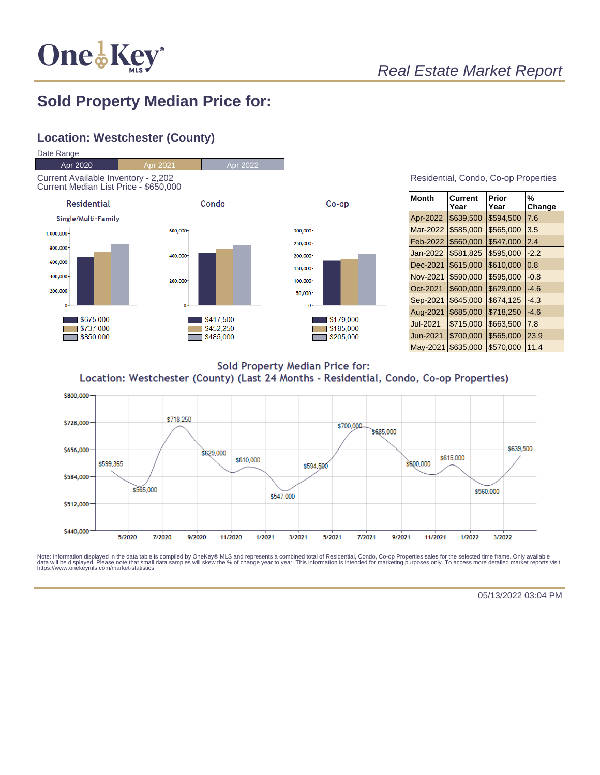

## Real Estate Market Report

## **Sold Property Median Price for:**

#### **Location: Westchester (County)**



#### Residential, Condo, Co-op Properties

| <b>Month</b>    | Current<br>Year | Prior<br>Year | %<br>Change |
|-----------------|-----------------|---------------|-------------|
| Apr-2022        | \$639,500       | \$594,500     | 7.6         |
| Mar-2022        | \$585,000       | \$565,000     | 3.5         |
| Feb-2022        | \$560,000       | \$547,000     | 2.4         |
| Jan-2022        | \$581,825       | \$595.000     | $-2.2$      |
| Dec-2021        | \$615,000       | \$610,000     | 0.8         |
| Nov-2021        | \$590,000       | \$595,000     | $-0.8$      |
| Oct-2021        | \$600,000       | \$629.000     | $-4.6$      |
| Sep-2021        | \$645,000       | \$674.125     | $-4.3$      |
| Aug-2021        | \$685,000       | \$718,250     | $-4.6$      |
| <b>Jul-2021</b> | \$715,000       | \$663,500     | 7.8         |
| Jun-2021        | \$700,000       | \$565,000     | 23.9        |
| <b>May-2021</b> | \$635,000       | \$570,000     | 11.4        |

**Sold Property Median Price for:** Location: Westchester (County) (Last 24 Months - Residential, Condo, Co-op Properties)



Note: Information displayed in the data table is compiled by OneKey® MLS and represents a combined total of Residential, Condo, Co-op Properties sales for the selected time frame. Only available<br>data will be displayed. Pl

05/13/2022 03:04 PM